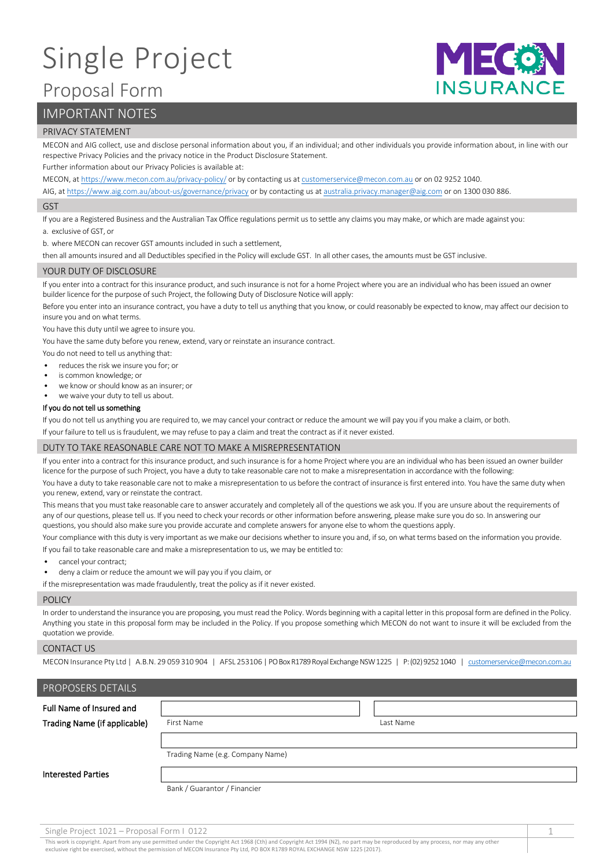# Single Project

# Proposal Form

# IMPORTANT NOTES

#### PRIVACY STATEMENT

MECON and AIG collect, use and disclose personal information about you, if an individual; and other individuals you provide information about, in line with our respective Privacy Policies and the privacy notice in the Product Disclosure Statement.

MIZCO

**INSURANCE** 

Further information about our Privacy Policies is available at:

MECON, a[t https://www.mecon.com.au/privacy-policy/](https://www.mecon.com.au/privacy-policy/) or by contacting us a[t customerservice@mecon.com.au](mailto:customerservice@mecon.com.au) or on 02 9252 1040.

AIG, a[t https://www.aig.com.au/about-us/governance/privacy](https://www.aig.com.au/about-us/governance/privacy) or by contacting us a[t australia.privacy.manager@aig.com](mailto:australia.privacy.manager@aig.com) or on 1300 030 886.

#### GST

If you are a Registered Business and the Australian Tax Office regulations permit us to settle any claims you may make, or which are made against you:

a. exclusive of GST, or

b. where MECON can recover GST amounts included in such a settlement,

then all amounts insured and all Deductibles specified in the Policy will exclude GST. In all other cases, the amounts must be GST inclusive.

#### YOUR DUTY OF DISCLOSURE

If you enter into a contract for this insurance product, and such insurance is not for a home Project where you are an individual who has been issued an owner builder licence for the purpose of such Project, the following Duty of Disclosure Notice will apply:

Before you enter into an insurance contract, you have a duty to tell us anything that you know, or could reasonably be expected to know, may affect our decision to insure you and on what terms.

You have this duty until we agree to insure you.

You have the same duty before you renew, extend, vary or reinstate an insurance contract.

You do not need to tell us anything that:

- reduces the risk we insure you for; or
- is common knowledge; or
- we know or should know as an insurer; or
- we waive your duty to tell us about.

#### If you do not tell us something

If you do not tell us anything you are required to, we may cancel your contract or reduce the amount we will pay you if you make a claim, or both.

If your failure to tell us is fraudulent, we may refuse to pay a claim and treat the contract as if it never existed.

#### DUTY TO TAKE REASONABLE CARE NOT TO MAKE A MISREPRESENTATION

If you enter into a contract for this insurance product, and such insurance is for a home Project where you are an individual who has been issued an owner builder licence for the purpose of such Project, you have a duty to take reasonable care not to make a misrepresentation in accordance with the following:

You have a duty to take reasonable care not to make a misrepresentation to us before the contract of insurance is first entered into. You have the same duty when you renew, extend, vary or reinstate the contract.

This means that you must take reasonable care to answer accurately and completely all of the questions we ask you. If you are unsure about the requirements of any of our questions, please tell us. If you need to check your records or other information before answering, please make sure you do so. In answering our questions, you should also make sure you provide accurate and complete answers for anyone else to whom the questions apply.

Your compliance with this duty is very important as we make our decisions whether to insure you and, if so, on what terms based on the information you provide. If you fail to take reasonable care and make a misrepresentation to us, we may be entitled to:

- cancel your contract;
- deny a claim or reduce the amount we will pay you if you claim, or

if the misrepresentation was made fraudulently, treat the policy as if it never existed.

#### **POLICY**

In order to understand the insurance you are proposing, you must read the Policy. Words beginning with a capital letter in this proposal form are defined in the Policy. Anything you state in this proposal form may be included in the Policy. If you propose something which MECON do not want to insure it will be excluded from the quotation we provide.

#### CONTACT US

MECON Insurance Pty Ltd | A.B.N. 29 059 310 904 | AFSL 253106 | PO Box R1789 Royal Exchange NSW 1225 | P: (02) 9252 1040 | [customerservice@mecon.com.au](mailto:customerservice@mecon.com.au)

| PROPOSERS DETAILS            |                                  |           |  |
|------------------------------|----------------------------------|-----------|--|
| Full Name of Insured and     |                                  |           |  |
| Trading Name (if applicable) | First Name                       | Last Name |  |
|                              |                                  |           |  |
|                              | Trading Name (e.g. Company Name) |           |  |
| <b>Interested Parties</b>    |                                  |           |  |
|                              | Bank / Guarantor / Financier     |           |  |

Single Project 1021 – Proposal Form I 0122 1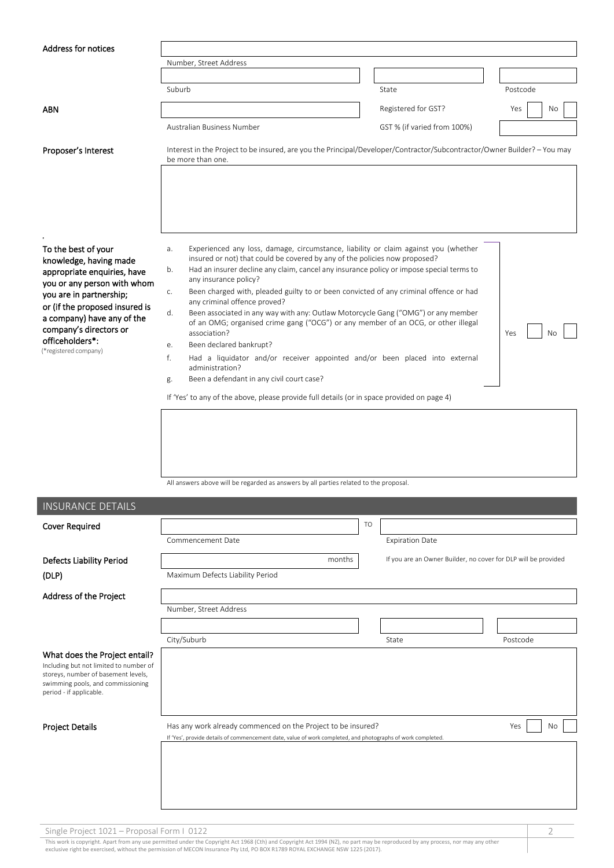| <b>Address for notices</b>                                                                                                                                                                                                                          |                                                                                                                                                                                                                                                                                                                                                                                                                                                                                                                                                                                                                                   |           |                                                                |           |
|-----------------------------------------------------------------------------------------------------------------------------------------------------------------------------------------------------------------------------------------------------|-----------------------------------------------------------------------------------------------------------------------------------------------------------------------------------------------------------------------------------------------------------------------------------------------------------------------------------------------------------------------------------------------------------------------------------------------------------------------------------------------------------------------------------------------------------------------------------------------------------------------------------|-----------|----------------------------------------------------------------|-----------|
|                                                                                                                                                                                                                                                     | Number, Street Address                                                                                                                                                                                                                                                                                                                                                                                                                                                                                                                                                                                                            |           |                                                                |           |
|                                                                                                                                                                                                                                                     |                                                                                                                                                                                                                                                                                                                                                                                                                                                                                                                                                                                                                                   |           |                                                                |           |
|                                                                                                                                                                                                                                                     | Suburb                                                                                                                                                                                                                                                                                                                                                                                                                                                                                                                                                                                                                            |           | State                                                          | Postcode  |
| <b>ABN</b>                                                                                                                                                                                                                                          |                                                                                                                                                                                                                                                                                                                                                                                                                                                                                                                                                                                                                                   |           | Registered for GST?                                            | Yes<br>No |
|                                                                                                                                                                                                                                                     | Australian Business Number                                                                                                                                                                                                                                                                                                                                                                                                                                                                                                                                                                                                        |           | GST % (if varied from 100%)                                    |           |
| Proposer's Interest                                                                                                                                                                                                                                 | Interest in the Project to be insured, are you the Principal/Developer/Contractor/Subcontractor/Owner Builder? - You may<br>be more than one.                                                                                                                                                                                                                                                                                                                                                                                                                                                                                     |           |                                                                |           |
| To the best of your<br>knowledge, having made<br>appropriate enquiries, have<br>you or any person with whom<br>you are in partnership;<br>or (if the proposed insured is<br>a company) have any of the<br>company's directors or<br>officeholders*: | Experienced any loss, damage, circumstance, liability or claim against you (whether<br>a.<br>insured or not) that could be covered by any of the policies now proposed?<br>Had an insurer decline any claim, cancel any insurance policy or impose special terms to<br>b.<br>any insurance policy?<br>Been charged with, pleaded guilty to or been convicted of any criminal offence or had<br>c.<br>any criminal offence proved?<br>Been associated in any way with any: Outlaw Motorcycle Gang ("OMG") or any member<br>d.<br>of an OMG; organised crime gang ("OCG") or any member of an OCG, or other illegal<br>association? |           |                                                                | Yes       |
| (*registered company)                                                                                                                                                                                                                               | Been declared bankrupt?<br>е.<br>f.<br>Had a liquidator and/or receiver appointed and/or been placed into external<br>administration?<br>Been a defendant in any civil court case?<br>g.<br>If 'Yes' to any of the above, please provide full details (or in space provided on page 4)                                                                                                                                                                                                                                                                                                                                            |           |                                                                |           |
|                                                                                                                                                                                                                                                     | All answers above will be regarded as answers by all parties related to the proposal.                                                                                                                                                                                                                                                                                                                                                                                                                                                                                                                                             |           |                                                                |           |
| <b>INSURANCE DETAILS</b>                                                                                                                                                                                                                            |                                                                                                                                                                                                                                                                                                                                                                                                                                                                                                                                                                                                                                   |           |                                                                |           |
| <b>Cover Required</b>                                                                                                                                                                                                                               |                                                                                                                                                                                                                                                                                                                                                                                                                                                                                                                                                                                                                                   | <b>TO</b> |                                                                |           |
|                                                                                                                                                                                                                                                     | Commencement Date                                                                                                                                                                                                                                                                                                                                                                                                                                                                                                                                                                                                                 |           | <b>Expiration Date</b>                                         |           |
| <b>Defects Liability Period</b>                                                                                                                                                                                                                     | months                                                                                                                                                                                                                                                                                                                                                                                                                                                                                                                                                                                                                            |           | If you are an Owner Builder, no cover for DLP will be provided |           |
| (DLP)                                                                                                                                                                                                                                               | Maximum Defects Liability Period                                                                                                                                                                                                                                                                                                                                                                                                                                                                                                                                                                                                  |           |                                                                |           |
| Address of the Project                                                                                                                                                                                                                              |                                                                                                                                                                                                                                                                                                                                                                                                                                                                                                                                                                                                                                   |           |                                                                |           |
|                                                                                                                                                                                                                                                     | Number, Street Address                                                                                                                                                                                                                                                                                                                                                                                                                                                                                                                                                                                                            |           |                                                                |           |
|                                                                                                                                                                                                                                                     |                                                                                                                                                                                                                                                                                                                                                                                                                                                                                                                                                                                                                                   |           |                                                                |           |
|                                                                                                                                                                                                                                                     | City/Suburb                                                                                                                                                                                                                                                                                                                                                                                                                                                                                                                                                                                                                       |           | State                                                          | Postcode  |
| What does the Project entail?<br>Including but not limited to number of<br>storeys, number of basement levels,<br>swimming pools, and commissioning<br>period - if applicable.                                                                      |                                                                                                                                                                                                                                                                                                                                                                                                                                                                                                                                                                                                                                   |           |                                                                |           |
| <b>Project Details</b>                                                                                                                                                                                                                              | Has any work already commenced on the Project to be insured?                                                                                                                                                                                                                                                                                                                                                                                                                                                                                                                                                                      |           |                                                                | No<br>Yes |
|                                                                                                                                                                                                                                                     | If 'Yes', provide details of commencement date, value of work completed, and photographs of work completed.                                                                                                                                                                                                                                                                                                                                                                                                                                                                                                                       |           |                                                                |           |
|                                                                                                                                                                                                                                                     |                                                                                                                                                                                                                                                                                                                                                                                                                                                                                                                                                                                                                                   |           |                                                                |           |

Single Project 1021 – Proposal Form I 0122 2

This work is copyright. Apart from any use permitted under the Copyright Act 1968 (Cth) and Copyright Act 1994 (NZ), no part may be reproduced by any process, nor may any other<br>exclusive right be exercised, without the per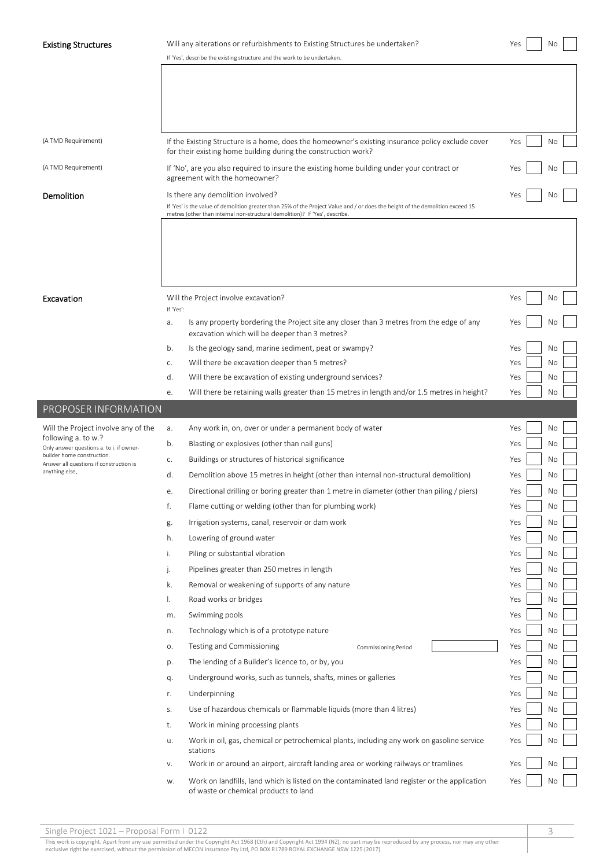| Existing Structures |  |  |  |
|---------------------|--|--|--|
|---------------------|--|--|--|

# Existing Structures Will any alterations or refurbishments to Existing Structures be undertaken? Wes Novell Novell Novell Novell Novell Novell Novell Novell Novell Novell Novell Novell Novell Novell Novell Novell Novell N

|                                                                 | If 'Yes', describe the existing structure and the work to be undertaken.                                                                                            |           |
|-----------------------------------------------------------------|---------------------------------------------------------------------------------------------------------------------------------------------------------------------|-----------|
|                                                                 |                                                                                                                                                                     |           |
|                                                                 |                                                                                                                                                                     |           |
|                                                                 |                                                                                                                                                                     |           |
|                                                                 |                                                                                                                                                                     |           |
|                                                                 |                                                                                                                                                                     |           |
| (A TMD Requirement)                                             | If the Existing Structure is a home, does the homeowner's existing insurance policy exclude cover<br>for their existing home building during the construction work? | Yes<br>No |
| (A TMD Requirement)                                             |                                                                                                                                                                     |           |
|                                                                 | If 'No', are you also required to insure the existing home building under your contract or<br>agreement with the homeowner?                                         | Yes<br>No |
| Demolition                                                      | Is there any demolition involved?                                                                                                                                   | Νo<br>Yes |
|                                                                 | If 'Yes' is the value of demolition greater than 25% of the Project Value and / or does the height of the demolition exceed 15                                      |           |
|                                                                 | metres (other than internal non-structural demolition)? If 'Yes', describe.                                                                                         |           |
|                                                                 |                                                                                                                                                                     |           |
|                                                                 |                                                                                                                                                                     |           |
|                                                                 |                                                                                                                                                                     |           |
|                                                                 |                                                                                                                                                                     |           |
|                                                                 |                                                                                                                                                                     |           |
|                                                                 |                                                                                                                                                                     |           |
| Excavation                                                      | Will the Project involve excavation?<br>If 'Yes':                                                                                                                   | Yes<br>No |
|                                                                 |                                                                                                                                                                     | Yes<br>Νo |
|                                                                 | Is any property bordering the Project site any closer than 3 metres from the edge of any<br>a.<br>excavation which will be deeper than 3 metres?                    |           |
|                                                                 |                                                                                                                                                                     |           |
|                                                                 | b.<br>Is the geology sand, marine sediment, peat or swampy?                                                                                                         | No<br>Yes |
|                                                                 | Will there be excavation deeper than 5 metres?<br>C.                                                                                                                | Yes<br>No |
|                                                                 | Will there be excavation of existing underground services?<br>d.                                                                                                    | Yes<br>No |
|                                                                 | Will there be retaining walls greater than 15 metres in length and/or 1.5 metres in height?<br>е.                                                                   | No<br>Yes |
| PROPOSER INFORMATION                                            |                                                                                                                                                                     |           |
|                                                                 |                                                                                                                                                                     |           |
| Will the Project involve any of the                             | Any work in, on, over or under a permanent body of water<br>а.                                                                                                      | No<br>Yes |
| following a. to w.?<br>Only answer questions a. to i. if owner- | Blasting or explosives (other than nail guns)<br>b.                                                                                                                 | Yes<br>No |
| builder home construction.                                      | Buildings or structures of historical significance<br>C.                                                                                                            | No<br>Yes |
| Answer all questions if construction is<br>anything else.       | d.<br>Demolition above 15 metres in height (other than internal non-structural demolition)                                                                          | No<br>Yes |
|                                                                 |                                                                                                                                                                     |           |
|                                                                 | Directional drilling or boring greater than 1 metre in diameter (other than piling / piers)<br>е.                                                                   | No<br>Yes |
|                                                                 | f.<br>Flame cutting or welding (other than for plumbing work)                                                                                                       | Yes<br>No |
|                                                                 | Irrigation systems, canal, reservoir or dam work<br>g.                                                                                                              | No<br>Yes |
|                                                                 | Lowering of ground water<br>h.                                                                                                                                      | Yes<br>No |
|                                                                 | Piling or substantial vibration<br>i.                                                                                                                               | Yes<br>No |
|                                                                 |                                                                                                                                                                     |           |
|                                                                 | Pipelines greater than 250 metres in length<br>j.                                                                                                                   | Yes<br>No |
|                                                                 | Removal or weakening of supports of any nature<br>k.                                                                                                                | Yes<br>No |
|                                                                 | Ι.<br>Road works or bridges                                                                                                                                         | Yes<br>No |
|                                                                 | Swimming pools<br>m.                                                                                                                                                | No<br>Yes |
|                                                                 | Technology which is of a prototype nature<br>n.                                                                                                                     | Yes<br>No |
|                                                                 |                                                                                                                                                                     |           |
|                                                                 | Testing and Commissioning<br>О.<br>Commissioning Period                                                                                                             | Yes<br>No |
|                                                                 | The lending of a Builder's licence to, or by, you<br>p.                                                                                                             | Yes<br>No |
|                                                                 | Underground works, such as tunnels, shafts, mines or galleries<br>q.                                                                                                | No<br>Yes |
|                                                                 | Underpinning<br>r.                                                                                                                                                  | No<br>Yes |
|                                                                 | Use of hazardous chemicals or flammable liquids (more than 4 litres)<br>S.                                                                                          | Yes<br>No |
|                                                                 |                                                                                                                                                                     |           |
|                                                                 | Work in mining processing plants<br>t.                                                                                                                              | Yes<br>No |
|                                                                 | Work in oil, gas, chemical or petrochemical plants, including any work on gasoline service<br>u.                                                                    | Yes<br>No |
|                                                                 | stations                                                                                                                                                            |           |
|                                                                 | Work in or around an airport, aircraft landing area or working railways or tramlines<br>٧.                                                                          | Yes<br>No |
|                                                                 | Work on landfills, land which is listed on the contaminated land register or the application<br>W.<br>of waste or chemical products to land                         | Yes<br>No |

Single Project 1021 – Proposal Form I 0122 3

This work is copyright. Apart from any use permitted under the Copyright Act 1968 (Cth) and Copyright Act 1994 (NZ), no part may be reproduced by any process, nor may any other<br>exclusive right be exercised, without the per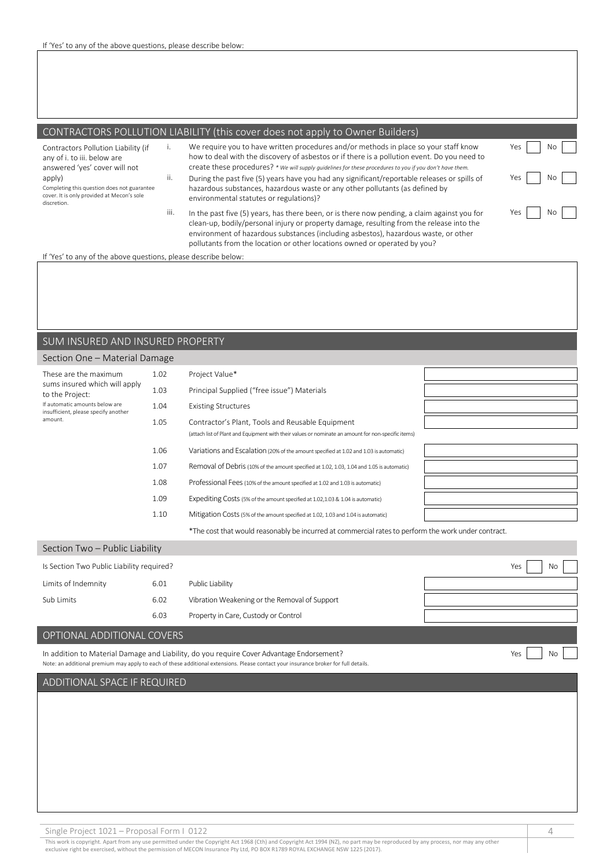## CONTRACTORS POLLUTION LIABILITY (this cover does not apply to Owner Builders)

Contractors Pollution Liability (if any of i. to iii. below are answered 'yes' cover will not apply) Completing this question does not guarantee cover. It is only provided at Mecon's sole

discretion.

- i. We require you to have written procedures and/or methods in place so your staff know how to deal with the discovery of asbestos or if there is a pollution event. Do you need to create these procedures? *\* We will supply guidelines for these procedures to you if you don't have them.* ii. During the past five (5) years have you had any significant/reportable releases or spills of
- hazardous substances, hazardous waste or any other pollutants (as defined by environmental statutes or regulations)? iii. In the past five (5) years, has there been, or is there now pending, a claim against you for
	- clean-up, bodily/personal injury or property damage, resulting from the release into the environment of hazardous substances (including asbestos), hazardous waste, or other pollutants from the location or other locations owned or operated by you?

If 'Yes' to any of the above questions, please describe below:

#### SUM INSURED AND INSURED PROPERTY

#### Section One – Material Damage

| These are the maximum                                                  | 1.02 | Project Value*                                                                                      |  |
|------------------------------------------------------------------------|------|-----------------------------------------------------------------------------------------------------|--|
| sums insured which will apply<br>to the Project:                       | 1.03 | Principal Supplied ("free issue") Materials                                                         |  |
| If automatic amounts below are<br>insufficient, please specify another | 1.04 | <b>Existing Structures</b>                                                                          |  |
| amount.                                                                | 1.05 | Contractor's Plant, Tools and Reusable Equipment                                                    |  |
|                                                                        |      | (attach list of Plant and Equipment with their values or nominate an amount for non-specific items) |  |
|                                                                        | 1.06 | Variations and Escalation (20% of the amount specified at 1.02 and 1.03 is automatic)               |  |
|                                                                        | 1.07 | Removal of Debris (10% of the amount specified at 1.02, 1.03, 1.04 and 1.05 is automatic)           |  |
|                                                                        | 1.08 | Professional Fees (10% of the amount specified at 1.02 and 1.03 is automatic)                       |  |
|                                                                        | 1.09 | Expediting Costs (5% of the amount specified at 1.02,1.03 & 1.04 is automatic)                      |  |
|                                                                        | 1.10 | Mitigation Costs (5% of the amount specified at 1.02, 1.03 and 1.04 is automatic)                   |  |
|                                                                        |      | *The cost that would reasonably be incurred at commercial rates to perform the work under contract. |  |

| Section Two - Public Liability            |      |                                               |           |
|-------------------------------------------|------|-----------------------------------------------|-----------|
| Is Section Two Public Liability required? |      |                                               | Yes<br>No |
| Limits of Indemnity                       | 6.01 | Public Liability                              |           |
| Sub Limits                                | 6.02 | Vibration Weakening or the Removal of Support |           |
|                                           | 6.03 | Property in Care, Custody or Control          |           |

#### OPTIONAL ADDITIONAL COVERS

In addition to Material Damage and Liability, do you require Cover Advantage Endorsement? Note: an additional premium may apply to each of these additional extensions. Please contact your insurance broker for full details.

# Yes No

Yes No

Yes No

Yes No

#### ADDITIONAL SPACE IF REQUIRED

Single Project 1021 – Proposal Form I 0122 4 and the state of the state of the state of the state of the state of the state of the state of the state of the state of the state of the state of the state of the state of the

This work is copyright. Apart from any use permitted under the Copyright Act 1968 (Cth) and Copyright Act 1994 (NZ), no part may be reproduced by any process, nor may any other exclusive right be exercised, without the permission of MECON Insurance Pty Ltd, PO BOX R1789 ROYAL EXCHANGE NSW 1225 (2017).